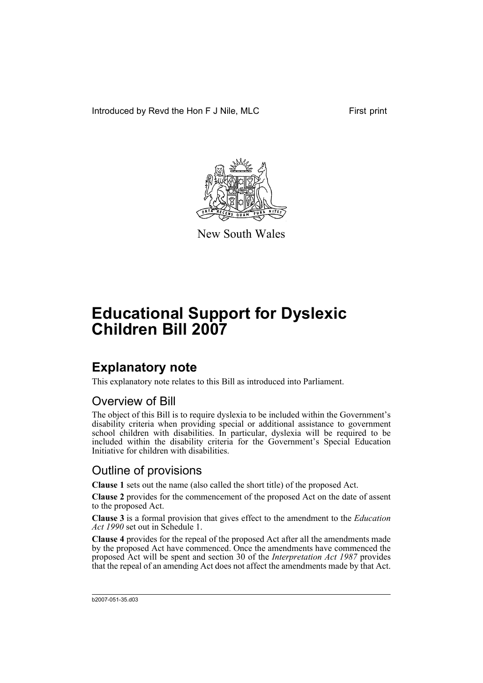Introduced by Revd the Hon F J Nile, MLC First print



New South Wales

# **Educational Support for Dyslexic Children Bill 2007**

## **Explanatory note**

This explanatory note relates to this Bill as introduced into Parliament.

### Overview of Bill

The object of this Bill is to require dyslexia to be included within the Government's disability criteria when providing special or additional assistance to government school children with disabilities. In particular, dyslexia will be required to be included within the disability criteria for the Government's Special Education Initiative for children with disabilities.

### Outline of provisions

**Clause 1** sets out the name (also called the short title) of the proposed Act.

**Clause 2** provides for the commencement of the proposed Act on the date of assent to the proposed Act.

**Clause 3** is a formal provision that gives effect to the amendment to the *Education Act 1990* set out in Schedule 1.

**Clause 4** provides for the repeal of the proposed Act after all the amendments made by the proposed Act have commenced. Once the amendments have commenced the proposed Act will be spent and section 30 of the *Interpretation Act 1987* provides that the repeal of an amending Act does not affect the amendments made by that Act.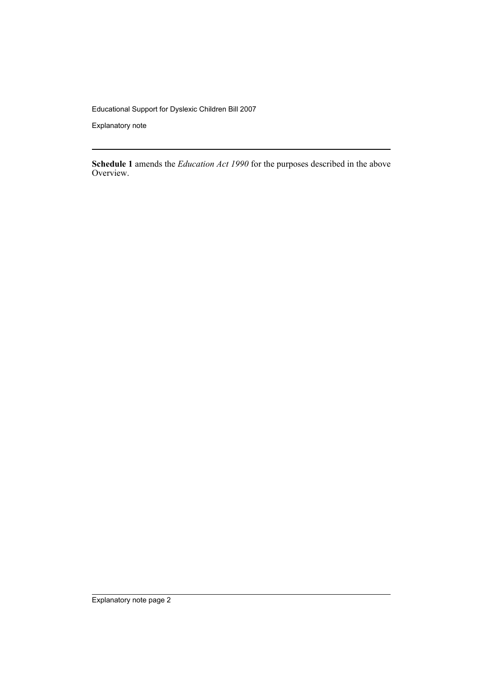Educational Support for Dyslexic Children Bill 2007

Explanatory note

**Schedule 1** amends the *Education Act 1990* for the purposes described in the above Overview.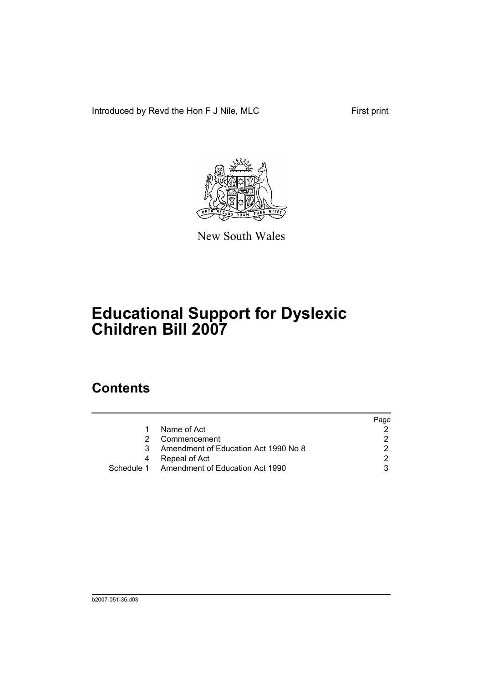Introduced by Revd the Hon F J Nile, MLC First print



New South Wales

# **Educational Support for Dyslexic Children Bill 2007**

### **Contents**

|                                      | Page                                       |
|--------------------------------------|--------------------------------------------|
| Name of Act                          |                                            |
| Commencement                         |                                            |
| Amendment of Education Act 1990 No 8 |                                            |
| Repeal of Act                        |                                            |
|                                      |                                            |
|                                      | Schedule 1 Amendment of Education Act 1990 |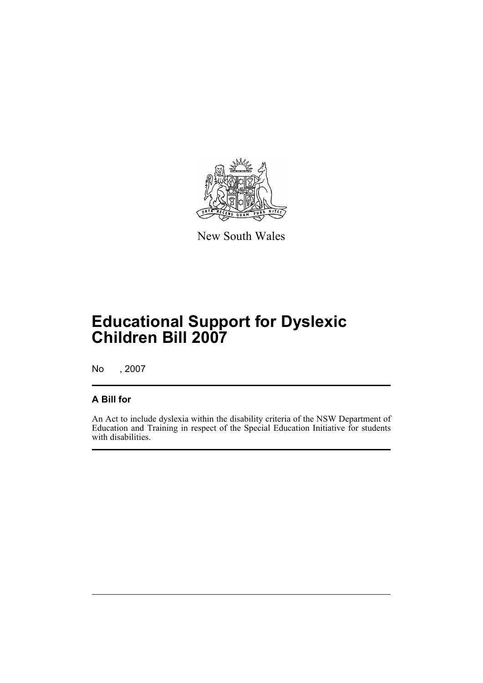

New South Wales

## **Educational Support for Dyslexic Children Bill 2007**

No , 2007

#### **A Bill for**

An Act to include dyslexia within the disability criteria of the NSW Department of Education and Training in respect of the Special Education Initiative for students with disabilities.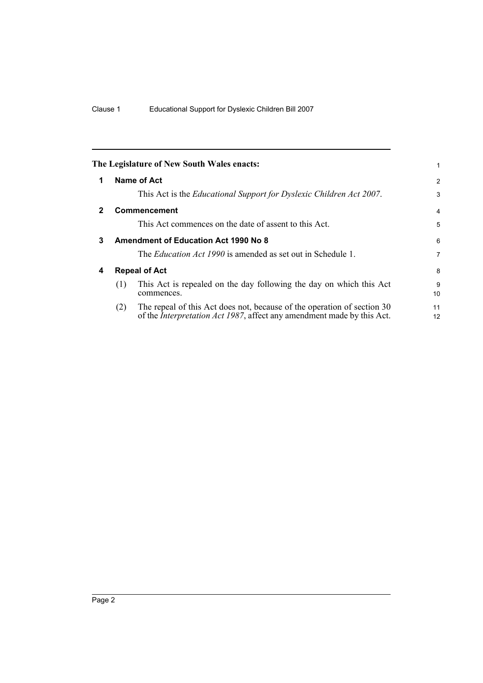<span id="page-5-3"></span><span id="page-5-2"></span><span id="page-5-1"></span><span id="page-5-0"></span>

|              |                                             | The Legislature of New South Wales enacts:                                                                                                                | 1                    |  |
|--------------|---------------------------------------------|-----------------------------------------------------------------------------------------------------------------------------------------------------------|----------------------|--|
| 1            |                                             | Name of Act                                                                                                                                               | 2                    |  |
|              |                                             | This Act is the <i>Educational Support for Dyslexic Children Act 2007</i> .                                                                               | 3                    |  |
| $\mathbf{2}$ | Commencement                                |                                                                                                                                                           |                      |  |
|              |                                             | This Act commences on the date of assent to this Act.                                                                                                     | 5                    |  |
| 3            | <b>Amendment of Education Act 1990 No 8</b> |                                                                                                                                                           |                      |  |
|              |                                             | The <i>Education Act 1990</i> is amended as set out in Schedule 1.                                                                                        | 7                    |  |
| 4            | <b>Repeal of Act</b>                        |                                                                                                                                                           | 8                    |  |
|              | (1)                                         | This Act is repealed on the day following the day on which this Act<br>commences.                                                                         | 9<br>10 <sup>1</sup> |  |
|              | (2)                                         | The repeal of this Act does not, because of the operation of section 30<br>of the <i>Interpretation Act 1987</i> , affect any amendment made by this Act. | 11<br>12             |  |